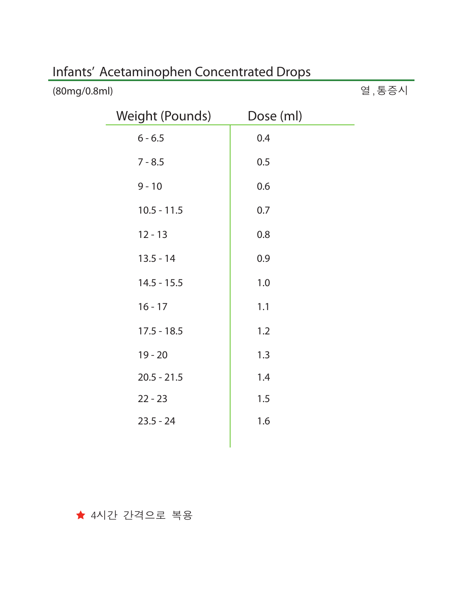| <b>Weight (Pounds)</b> | Dose (ml) |
|------------------------|-----------|
| $6 - 6.5$              | 0.4       |
| $7 - 8.5$              | 0.5       |
| $9 - 10$               | 0.6       |
| $10.5 - 11.5$          | 0.7       |
| $12 - 13$              | 0.8       |
| $13.5 - 14$            | 0.9       |
| $14.5 - 15.5$          | 1.0       |
| $16 - 17$              | 1.1       |
| $17.5 - 18.5$          | 1.2       |
| $19 - 20$              | 1.3       |
| $20.5 - 21.5$          | 1.4       |
| $22 - 23$              | 1.5       |
| $23.5 - 24$            | 1.6       |
|                        |           |

열,통증시

## Infants' Acetaminophen Concentrated Drops

(80mg/0.8ml)

★ 4시간 간격으로 복용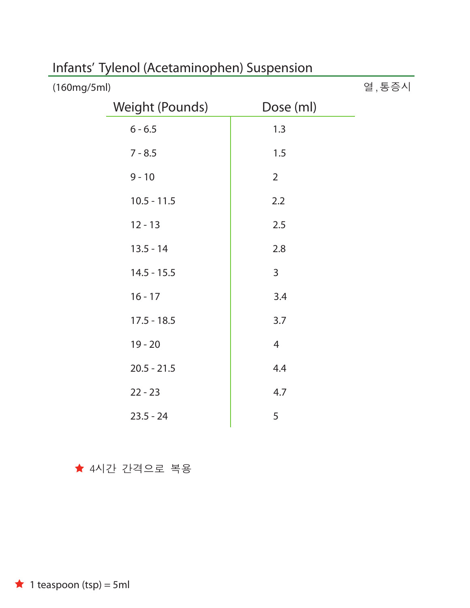|                | 열, 통증시 |
|----------------|--------|
| Dose (ml)      |        |
| 1.3            |        |
| 1.5            |        |
| $\overline{2}$ |        |
| 2.2            |        |
| 2.5            |        |
| 2.8            |        |
| 3              |        |
| 3.4            |        |
| 3.7            |        |
| $\overline{4}$ |        |
| 4.4            |        |
| 4.7            |        |
| 5              |        |
|                |        |

# Infants' Tylenol (Acetaminophen) Suspension

★ 4시간 간격으로 복용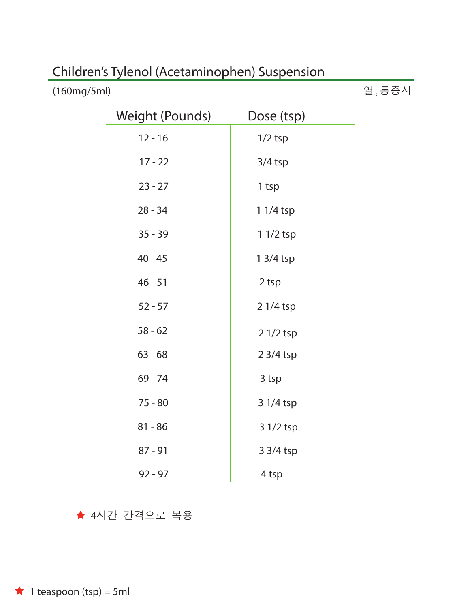| <b>Weight (Pounds)</b> | Dose (tsp) |
|------------------------|------------|
| $12 - 16$              | $1/2$ tsp  |
| $17 - 22$              | $3/4$ tsp  |
| $23 - 27$              | 1 tsp      |
| $28 - 34$              | $11/4$ tsp |
| $35 - 39$              | 1 1/2 tsp  |
| $40 - 45$              | $13/4$ tsp |
| $46 - 51$              | 2 tsp      |
| $52 - 57$              | 2 1/4 tsp  |
| $58 - 62$              | 2 1/2 tsp  |
| $63 - 68$              | 2 3/4 tsp  |
| $69 - 74$              | 3 tsp      |
| $75 - 80$              | 3 1/4 tsp  |
| $81 - 86$              | 3 1/2 tsp  |
| $87 - 91$              | 3 3/4 tsp  |
| $92 - 97$              | 4 tsp      |

열,통증시

## Children's Tylenol (Acetaminophen) Suspension

★ 4시간 간격으로 복용

 $\star$  1 teaspoon (tsp) = 5ml

(160mg/5ml)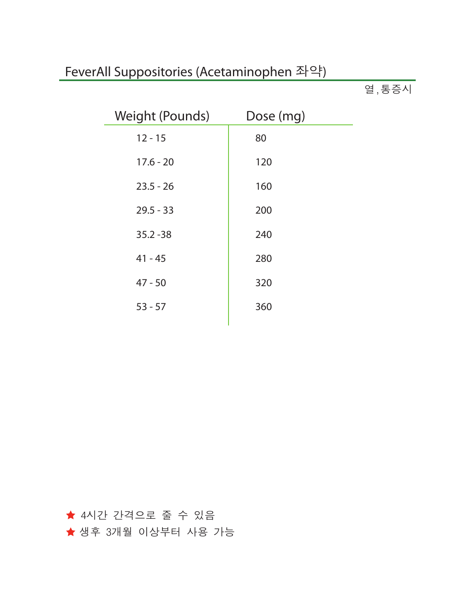## FeverAll Suppositories (Acetaminophen 좌약)

 $g, \overline{g} \geq 0$ 

| Weight (Pounds) | Dose (mg) |
|-----------------|-----------|
| $12 - 15$       | 80        |
| $17.6 - 20$     | 120       |
| $23.5 - 26$     | 160       |
| $29.5 - 33$     | 200       |
| $35.2 - 38$     | 240       |
| $41 - 45$       | 280       |
| $47 - 50$       | 320       |
| $53 - 57$       | 360       |
|                 |           |

4시간 간격으로 줄 수 있음 ★ 생후 3개월 이상부터 사용 가능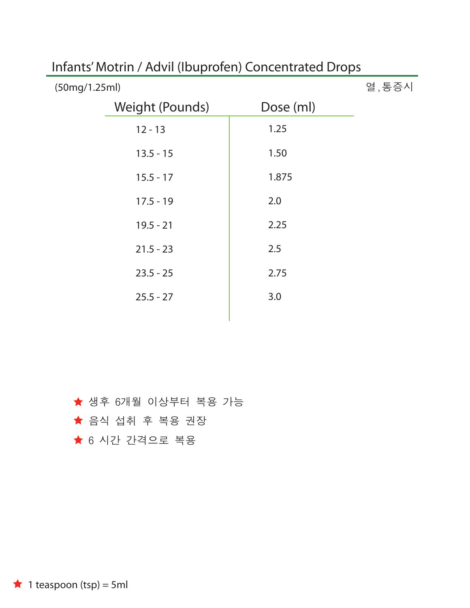| (50mg/1.25ml) |                 |           | 열, 통증시 |
|---------------|-----------------|-----------|--------|
|               | Weight (Pounds) | Dose (ml) |        |
|               | $12 - 13$       | 1.25      |        |
|               | $13.5 - 15$     | 1.50      |        |
|               | $15.5 - 17$     | 1.875     |        |
|               | $17.5 - 19$     | 2.0       |        |
|               | $19.5 - 21$     | 2.25      |        |
|               | $21.5 - 23$     | 2.5       |        |
|               | $23.5 - 25$     | 2.75      |        |
|               | $25.5 - 27$     | 3.0       |        |

### Infants' Motrin / Advil (Ibuprofen) Concentrated Drops

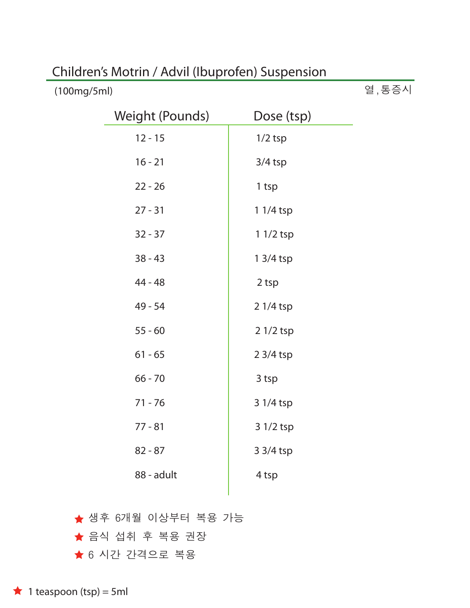| Children's Motrin / Advil (Ibuprofen) Suspension |  |
|--------------------------------------------------|--|
|--------------------------------------------------|--|

| (100mg/5ml) |
|-------------|
|-------------|

열,통증시

| <b>Weight (Pounds)</b> | Dose (tsp) |
|------------------------|------------|
| $12 - 15$              | $1/2$ tsp  |
| $16 - 21$              | $3/4$ tsp  |
| $22 - 26$              | 1 tsp      |
| $27 - 31$              | $11/4$ tsp |
| $32 - 37$              | $11/2$ tsp |
| $38 - 43$              | $13/4$ tsp |
| 44 - 48                | 2 tsp      |
| $49 - 54$              | 2 1/4 tsp  |
| $55 - 60$              | 2 1/2 tsp  |
| $61 - 65$              | 2 3/4 tsp  |
| $66 - 70$              | 3 tsp      |
| $71 - 76$              | 3 1/4 tsp  |
| $77 - 81$              | 3 1/2 tsp  |
| $82 - 87$              | 3 3/4 tsp  |
| 88 - adult             | 4 tsp      |
|                        |            |

★ 6 시간 간격으로 복용 ★ 음식 섭취 후 복용 권장 ★ 생후 6개월 이상부터 복용 가능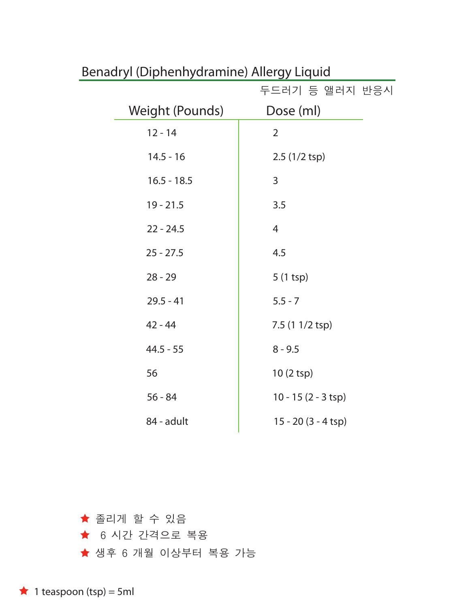| 두드러기 등 앨러지 반응시               |
|------------------------------|
| Dose (ml)                    |
| $\overline{2}$               |
| 2.5 (1/2 tsp)                |
| 3                            |
| 3.5                          |
| 4                            |
| 4.5                          |
| $5(1 \text{ tsp})$           |
| $5.5 - 7$                    |
| 7.5 (1 1/2 tsp)              |
| $8 - 9.5$                    |
| 10 (2 tsp)                   |
| $10 - 15(2 - 3 \text{ tsp})$ |
| $15 - 20(3 - 4 \text{ tsp})$ |
|                              |

### Benadryl (Diphenhydramine) Allergy Liquid